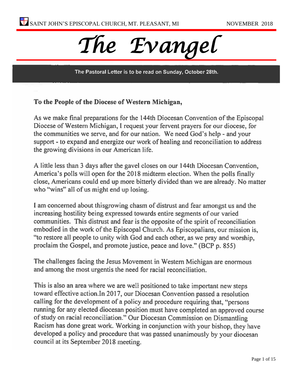

The Pastoral Letter is to be read on Sunday, October 28th.

#### To the People of the Diocese of Western Michigan,

As we make final preparations for the 144th Diocesan Convention of the Episcopal Diocese of Western Michigan, I request your fervent prayers for our diocese, for the communities we serve, and for our nation. We need God's help - and your support - to expand and energize our work of healing and reconciliation to address the growing divisions in our American life.

A little less than 3 days after the gavel closes on our 144th Diocesan Convention, America's polls will open for the 2018 midterm election. When the polls finally close, Americans could end up more bitterly divided than we are already. No matter who "wins" all of us might end up losing.

I am concerned about this growing chasm of distrust and fear amongst us and the increasing hostility being expressed towards entire segments of our varied communities. This distrust and fear is the opposite of the spirit of reconciliation embodied in the work of the Episcopal Church. As Episcopalians, our mission is, "to restore all people to unity with God and each other, as we pray and worship, proclaim the Gospel, and promote justice, peace and love." (BCP p. 855)

The challenges facing the Jesus Movement in Western Michigan are enormous and among the most urgentis the need for racial reconciliation.

This is also an area where we are well positioned to take important new steps toward effective action.In 2017, our Diocesan Convention passed a resolution calling for the development of a policy and procedure requiring that, "persons running for any elected diocesan position must have completed an approved course of study on racial reconciliation." Our Diocesan Commission on Dismantling Racism has done great work. Working in conjunction with your bishop, they have developed a policy and procedure that was passed unanimously by your diocesan council at its September 2018 meeting.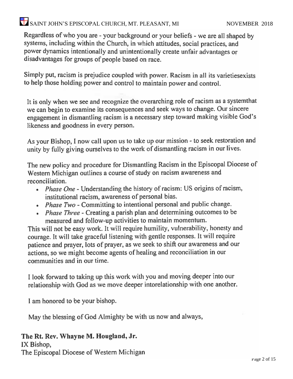# $\bullet$  SAINT JOHN'S EPISCOPAL CHURCH, MT. PLEASANT, MI NOVEMBER 2018

Regardless of who you are - your background or your beliefs - we are all shaped by systems, including within the Church, in which attitudes, social practices, and power dynamics intentionally and unintentionally create unfair advantages or disadvantages for groups of people based on race.

Simply put, racism is prejudice coupled with power. Racism in all its varieties exists to help those holding power and control to maintain power and control.

It is only when we see and recognize the overarching role of racism as a system that we can begin to examine its consequences and seek ways to change. Our sincere engagement in dismantling racism is a necessary step toward making visible God's likeness and goodness in every person.

As your Bishop, I now call upon us to take up our mission - to seek restoration and unity by fully giving ourselves to the work of dismantling racism in our lives.

The new policy and procedure for Dismantling Racism in the Episcopal Diocese of Western Michigan outlines a course of study on racism awareness and reconciliation.

- . Phase One Understanding the history of racism: US origins of racism, institutional racism, awareness of personal bias.
- Phase Two Committing to intentional personal and public change.
- Phase Three Creating a parish plan and determining outcomes to be measured and follow-up activities to maintain momentum.

This will not be easy work. It will require humility, vulnerability, honesty and courage. It will take graceful listening with gentle responses. It will require patience and prayer, lots of prayer, as we seek to shift our awareness and our actions, so we might become agents of healing and reconciliation in our communities and in our time.

I look forward to taking up this work with you and moving deeper into our relationship with God as we move deeper intorelationship with one another.

I am honored to be your bishop.

May the blessing of God Almighty be with us now and always,

#### The Rt. Rev. Whayne M. Hougland, Jr.

IX Bishop, The Episcopal Diocese of Western Michigan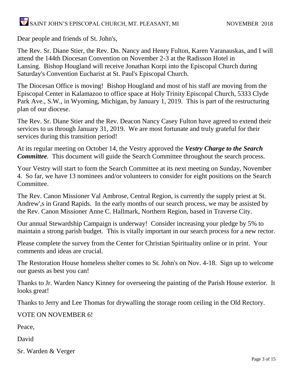# $\overline{\bullet}$  SAINT JOHN'S EPISCOPAL CHURCH, MT. PLEASANT, MI NOVEMBER 2018

Dear people and friends of St. John's,

The Rev. Sr. Diane Stier, the Rev. Dn. Nancy and Henry Fulton, Karen Varanauskas, and I will attend the 144th Diocesan Convention on November 2-3 at the Radisson Hotel in Lansing. Bishop Hougland will receive Jonathan Korpi into the Episcopal Church during Saturday's Convention Eucharist at St. Paul's Episcopal Church.

The Diocesan Office is moving! Bishop Hougland and most of his staff are moving from the Episcopal Center in Kalamazoo to office space at Holy Trinity Episcopal Church, 5333 Clyde Park Ave., S.W., in Wyoming, Michigan, by January 1, 2019. This is part of the restructuring plan of our diocese.

The Rev. Sr. Diane Stier and the Rev. Deacon Nancy Casey Fulton have agreed to extend their services to us through January 31, 2019. We are most fortunate and truly grateful for their services during this transition period!

At its regular meeting on October 14, the Vestry approved the *Vestry Charge to the Search Committee.* This document will guide the Search Committee throughout the search process.

Your Vestry will start to form the Search Committee at its next meeting on Sunday, November 4. So far, we have 13 nominees and/or volunteers to consider for eight positions on the Search **Committee** 

The Rev. Canon Missioner Val Ambrose, Central Region, is currently the supply priest at St. Andrew',s in Grand Rapids. In the early months of our search process, we may be assisted by the Rev. Canon Missioner Anne C. Hallmark, Northern Region, based in Traverse City.

Our annual Stewardship Campaign is underway! Consider increasing your pledge by 5% to maintain a strong parish budget. This is vitally important in our search process for a new rector.

Please complete the survey from the Center for Christian Spirituality online or in print. Your comments and ideas are crucial.

The Restoration House homeless shelter comes to St. John's on Nov. 4-18. Sign up to welcome our guests as best you can!

Thanks to Jr. Warden Nancy Kinney for overseeing the painting of the Parish House exterior. It looks great!

Thanks to Jerry and Lee Thomas for drywalling the storage room ceiling in the Old Rectory.

VOTE ON NOVEMBER 6!

Peace,

David

Sr. Warden & Verger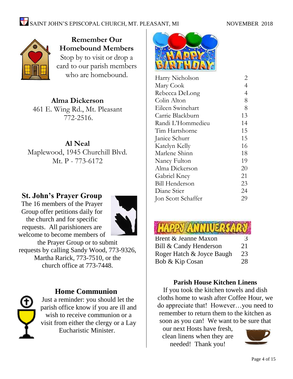

**Remember Our Homebound Members** Stop by to visit or drop a card to our parish members who are homebound.

### **Alma Dickerson**

461 E. Wing Rd., Mt. Pleasant 772-2516.

#### **Al Neal** Maplewood, 1945 Churchill Blvd. Mt. P - 773-6172

### **St. John's Prayer Group**

The 16 members of the Prayer Group offer petitions daily for the church and for specific requests. All parishioners are welcome to become members of



the Prayer Group or to submit requests by calling Sandy Wood, 773-9326, Martha Rarick, 773-7510, or the church office at 773-7448.

### **Home Communion**

Just a reminder: you should let the parish office know if you are ill and wish to receive communion or a visit from either the clergy or a Lay Eucharistic Minister.



| Harry Nicholson       | 2              |
|-----------------------|----------------|
| Mary Cook             | $\overline{4}$ |
| Rebecca DeLong        | $\overline{4}$ |
| Colin Alton           | 8              |
| Eileen Swinehart      | 8              |
| Carrie Blackburn      | 13             |
| Randi L'Hommedieu     | 14             |
| Tim Hartshorne        | 15             |
| Janice Schurr         | 15             |
| Katelyn Kelly         | 16             |
| Marlene Shinn         | 18             |
| Nancy Fulton          | 19             |
| Alma Dickerson        | 20             |
| Gabriel Kney          | 21             |
| <b>Bill Henderson</b> | 23             |
| Diane Stier           | 24             |
| Jon Scott Schaffer    | 29             |
|                       |                |



#### **Parish House Kitchen Linens**

If you took the kitchen towels and dish cloths home to wash after Coffee Hour, we do appreciate that! However…you need to remember to return them to the kitchen as soon as you can! We want to be sure that

our next Hosts have fresh, clean linens when they are needed! Thank you!

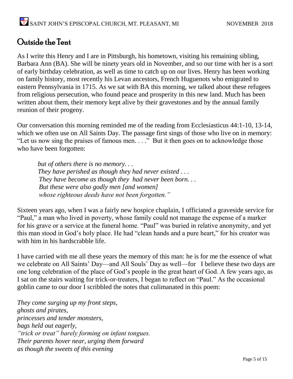## Outside the Tent

As I write this Henry and I are in Pittsburgh, his hometown, visiting his remaining sibling, Barbara Ann (BA). She will be ninety years old in November, and so our time with her is a sort of early birthday celebration, as well as time to catch up on our lives. Henry has been working on family history, most recently his Levan ancestors, French Huguenots who emigrated to eastern Pennsylvania in 1715. As we sat with BA this morning, we talked about these refugees from religious persecution, who found peace and prosperity in this new land. Much has been written about them, their memory kept alive by their gravestones and by the annual family reunion of their progeny.

Our conversation this morning reminded me of the reading from Ecclesiasticus 44:1-10, 13-14, which we often use on All Saints Day. The passage first sings of those who live on in memory: "Let us now sing the praises of famous men. . . ." But it then goes on to acknowledge those who have been forgotten:

 *but of others there is no memory. . . They have perished as though they had never existed . . . They have become as though they had never been born. . . But these were also godly men [and women] whose righteous deeds have not been forgotten."*

Sixteen years ago, when I was a fairly new hospice chaplain, I officiated a graveside service for "Paul," a man who lived in poverty, whose family could not manage the expense of a marker for his grave or a service at the funeral home. "Paul" was buried in relative anonymity, and yet this man stood in God's holy place. He had "clean hands and a pure heart," for his creator was with him in his hardscrabble life.

I have carried with me all these years the memory of this man: he is for me the essence of what we celebrate on All Saints' Day—and All Souls' Day as well—for I believe these two days are one long celebration of the place of God's people in the great heart of God. A few years ago, as I sat on the stairs waiting for trick-or-treaters, I began to reflect on "Paul." As the occasional goblin came to our door I scribbled the notes that culimanated in this poem:

*They come surging up my front steps, ghosts and pirates, princesses and tender monsters, bags held out eagerly, "trick or treat" barely forming on infant tongues. Their parents hover near, urging them forward as though the sweets of this evening*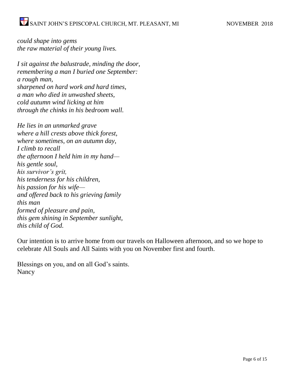*could shape into gems the raw material of their young lives.*

*I sit against the balustrade, minding the door, remembering a man I buried one September: a rough man, sharpened on hard work and hard times, a man who died in unwashed sheets, cold autumn wind licking at him through the chinks in his bedroom wall.*

*He lies in an unmarked grave where a hill crests above thick forest, where sometimes, on an autumn day, I climb to recall the afternoon I held him in my hand his gentle soul, his survivor's grit, his tenderness for his children, his passion for his wife and offered back to his grieving family this man formed of pleasure and pain, this gem shining in September sunlight, this child of God.*

Our intention is to arrive home from our travels on Halloween afternoon, and so we hope to celebrate All Souls and All Saints with you on November first and fourth.

Blessings on you, and on all God's saints. Nancy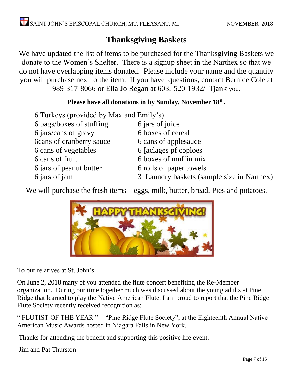# **Thanksgiving Baskets**

We have updated the list of items to be purchased for the Thanksgiving Baskets we donate to the Women's Shelter. There is a signup sheet in the Narthex so that we do not have overlapping items donated. Please include your name and the quantity you will purchase next to the item. If you have questions, contact Bernice Cole at 989-317-8066 or Ella Jo Regan at 603.-520-1932/ Tjank you.

#### **Please have all donations in by Sunday, November 18th .**

| 6 Turkeys (provided by Max and Emily's) |                                            |
|-----------------------------------------|--------------------------------------------|
| 6 bags/boxes of stuffing                | 6 jars of juice                            |
| 6 jars/cans of gravy                    | 6 boxes of cereal                          |
| <b>6cans of cranberry sauce</b>         | 6 cans of applesauce                       |
| 6 cans of vegetables                    | 6 [aclages pf cpploes]                     |
| 6 cans of fruit                         | 6 boxes of muffin mix                      |
| 6 jars of peanut butter                 | 6 rolls of paper towels                    |
| 6 jars of jam                           | 3 Laundry baskets (sample size in Narthex) |

We will purchase the fresh items – eggs, milk, butter, bread, Pies and potatoes.



To our relatives at St. John's.

On June 2, 2018 many of you attended the flute concert benefiting the Re-Member organization. During our time together much was discussed about the young adults at Pine Ridge that learned to play the Native American Flute. I am proud to report that the Pine Ridge Flute Society recently received recognition as:

" FLUTIST OF THE YEAR " - "Pine Ridge Flute Society", at the Eighteenth Annual Native American Music Awards hosted in Niagara Falls in New York.

Thanks for attending the benefit and supporting this positive life event.

Jim and Pat Thurston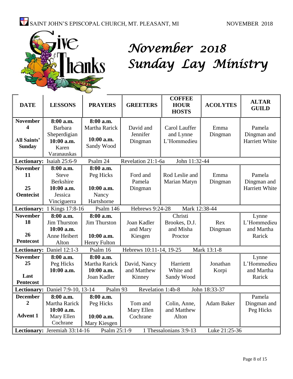

# *November 2018 Sunday Lay Ministry*

| <b>DATE</b>                                                                              | <b>LESSONS</b>              | <b>PRAYERS</b>       | <b>GREETERS</b>         | <b>COFFEE</b><br><b>HOUR</b><br><b>HOSTS</b> | <b>ACOLYTES</b>   | <b>ALTAR</b><br><b>GUILD</b> |
|------------------------------------------------------------------------------------------|-----------------------------|----------------------|-------------------------|----------------------------------------------|-------------------|------------------------------|
| <b>November</b>                                                                          | 8:00 a.m.                   | 8:00 a.m.            |                         |                                              |                   |                              |
| 4                                                                                        | Barbara                     | <b>Martha Rarick</b> | David and               | Carol Lauffer                                | Emma              | Pamela                       |
|                                                                                          | Sheperdigian                |                      | Jennifer                | and Lynne                                    | Dingman           | Dingman and                  |
| <b>All Saints'</b>                                                                       | 10:00 a.m.                  | 10:00 a.m.           | Dingman                 | L'Hommedieu                                  |                   | Harriett White               |
| <b>Sunday</b>                                                                            | Karen                       | Sandy Wood           |                         |                                              |                   |                              |
|                                                                                          | Varanauskas                 |                      |                         |                                              |                   |                              |
|                                                                                          | Lectionary: Isaiah 25:6-9   | Psalm 24             | Revelation 21:1-6a      | John 11:32-44                                |                   |                              |
| <b>November</b>                                                                          | 8:00 a.m.                   | 8:00 a.m.            |                         |                                              |                   |                              |
| 11                                                                                       | <b>Steve</b>                | Peg Hicks            | Ford and                | Rod Leslie and                               | Emma              | Pamela                       |
|                                                                                          | <b>Berkshire</b>            |                      | Pamela                  | Marian Matyn                                 | Dingman           | Dingman and                  |
| 25                                                                                       | 10:00 a.m.                  | $10:00$ a.m.         | Dingman                 |                                              |                   | Harriett White               |
| <b>Oentecist</b>                                                                         | Jessica                     | Nancy                |                         |                                              |                   |                              |
|                                                                                          | Vinciguerra                 | Hartshorne           |                         |                                              |                   |                              |
|                                                                                          | Lectionary: 1 Kings 17:8-16 | Psalm 146            | Hebrews 9:24-28         | Mark 12:38-44                                |                   |                              |
| <b>November</b>                                                                          | 8:00 a.m.                   | 8:00 a.m.            |                         | Christi                                      |                   | Lynne                        |
| 18                                                                                       | Jim Thurston                | <b>Jim Thurston</b>  | Joan Kadler             | Brookes, D.J.                                | Rex               | L'Hommedieu                  |
|                                                                                          | 10:00 a.m.                  |                      | and Mary                | and Misha                                    | Dingman           | and Martha                   |
| 26                                                                                       | Anne Heibert                | 10:00 a.m.           | Kiesgen                 | Proctor                                      |                   | Rarick                       |
| <b>Pentecost</b>                                                                         | Alton                       | Henry Fulton         |                         |                                              |                   |                              |
|                                                                                          | Lectionary: Daniel 12:1-3   | Psalm 16             | Hebrews 10:11-14, 19-25 |                                              | Mark 13:1-8       |                              |
| <b>November</b>                                                                          | 8:00 a.m.                   | 8:00 a.m.            |                         |                                              |                   | Lynne                        |
| 25                                                                                       | Peg Hicks                   | Martha Rarick        | David, Nancy            | Harriettt                                    | Jonathan          | L'Hommedieu                  |
|                                                                                          | 10:00 a.m.                  | 10:00 a.m.           | and Matthew             | White and                                    | Korpi             | and Martha                   |
| Last                                                                                     |                             | Joan Kadler          | Kinney                  | Sandy Wood                                   |                   | Rarick                       |
| Pentecost                                                                                |                             |                      |                         |                                              |                   |                              |
| Lectionary: Daniel 7:9-10, 13-14<br>John 18:33-37<br>Psalm 93<br>Revelation 1:4b-8       |                             |                      |                         |                                              |                   |                              |
| <b>December</b>                                                                          | 8:00 a.m.                   | 8:00 a.m.            |                         |                                              |                   | Pamela                       |
| $\overline{2}$                                                                           | Martha Rarick               | Peg Hicks            | Tom and                 | Colin, Anne,                                 | <b>Adam Baker</b> | Dingman and                  |
|                                                                                          | 10:00 a.m.                  |                      | Mary Ellen              | and Matthew                                  |                   | Peg Hicks                    |
| <b>Advent 1</b>                                                                          | Mary Ellen                  | 10:00 a.m.           | Cochrane                | Alton                                        |                   |                              |
|                                                                                          | Cochrane                    | Mary Kiesgen         |                         |                                              |                   |                              |
| Lectionary: Jeremiah 33:14-16<br>Psalm 25:1-9<br>1 Thessalonians 3:9-13<br>Luke 21:25-36 |                             |                      |                         |                                              |                   |                              |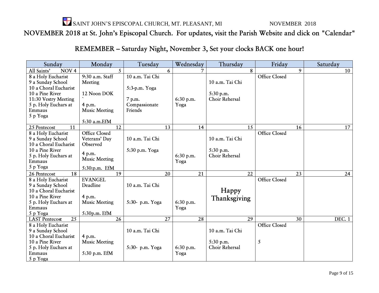$\sum_{i=1}^{N}$  SAINT JOHN'S EPISCOPAL CHURCH, MT. PLEASANT, MI NOVEMBER 2018

# NOVEMBER 2018 at St. John's Episcopal Church. For updates, visit the Parish Website and click on "Calendar"

REMEMBER - Saturday Night, November 3, Set your clocks BACK one hour!

| Sunday                                   | Monday               | Tuesday         | Wednesday | Thursday        | Friday               | Saturday      |
|------------------------------------------|----------------------|-----------------|-----------|-----------------|----------------------|---------------|
| All Saints'<br>NOV <sub>4</sub>          | 5                    | 6               |           | 8               | 9                    | 10            |
| 8 a Holy Eucharist                       | 9:30 a.m. Staff      | 10 a.m. Tai Chi |           |                 | <b>Office Closed</b> |               |
| 9 a Sunday School                        | Meeting              |                 |           | 10 a.m. Tai Chi |                      |               |
| 10 a Choral Eucharist                    |                      | 5:3-p.m. Yoga   |           |                 |                      |               |
| 10 a Pine River                          | 12 Noon DOK          |                 |           | 5:30 p.m.       |                      |               |
| 11:30 Vestry Meeting                     |                      | 7 p.m.          | 6:30 p.m. | Choir Rehersal  |                      |               |
| 5 p. Holy Euchars at                     | 4 p.m.               | Compassionate   | Yoga      |                 |                      |               |
| Emmaus                                   | <b>Music Meeting</b> | Friends         |           |                 |                      |               |
| 5 p Yoga                                 |                      |                 |           |                 |                      |               |
|                                          | 5:30 a.m.EfM         |                 |           |                 |                      |               |
| 25 Pentecost<br>11                       | 12                   | 13              | 14        | 15              | 16                   | 17            |
| 8 a Holy Eucharist                       | <b>Office Closed</b> |                 |           |                 | <b>Office Closed</b> |               |
| 9 a Sunday School                        | Veterans' Day        | 10 a.m. Tai Chi |           | 10 a.m. Tai Chi |                      |               |
| 10 a Choral Eucharist                    | Observed             |                 |           |                 |                      |               |
| 10 a Pine River                          | 4 p.m.               | 5:30 p.m. Yoga  |           | 5:30 p.m.       |                      |               |
| 5 p. Holy Euchars at                     | <b>Music Meeting</b> |                 | 6:30 p.m. | Choir Rehersal  |                      |               |
| Emmaus                                   |                      |                 | Yoga      |                 |                      |               |
| 5 p Yoga                                 | 5:30:p.m. EfM        |                 |           |                 |                      |               |
| 18<br>26 Pentecost                       | 19                   | 20              | 21        | 22              | 23                   | 24            |
| 8 a Holy Eucharist                       | <b>EVANGEL</b>       |                 |           |                 | <b>Office Closed</b> |               |
| 9 a Sunday School                        | Deadline             | 10 a.m. Tai Chi |           |                 |                      |               |
| 10 a Choral Eucharist                    |                      |                 |           | Happy           |                      |               |
| 10 a Pine River                          | 4 p.m.               |                 |           | Thanksgiving    |                      |               |
| 5 p. Holy Euchars at                     | <b>Music Meeting</b> | 5:30- p.m. Yoga | 6:30 p.m. |                 |                      |               |
| Emmaus                                   |                      |                 | Yoga      |                 |                      |               |
| 5 p Yoga                                 | 5:30p.m. EfM         |                 |           |                 |                      |               |
| $\overline{25}$<br><b>LAST</b> Pentecost | 26                   | 27              | 28        | 29              | 30                   | <b>DEC. 1</b> |
| 8 a Holy Eucharist                       |                      |                 |           |                 | <b>Office Closed</b> |               |
| 9 a Sunday School                        |                      | 10 a.m. Tai Chi |           | 10 a.m. Tai Chi |                      |               |
| 10 a Choral Eucharist                    | 4 p.m.               |                 |           |                 |                      |               |
| 10 a Pine River                          | <b>Music Meeting</b> |                 |           | 5:30 p.m.       | 5                    |               |
| 5 p. Holy Euchars at                     |                      | 5:30- p.m. Yoga | 6:30 p.m. | Choir Rehersal  |                      |               |
| Emmaus                                   | 5:30 p.m. EfM        |                 | Yoga      |                 |                      |               |
| 5 p Yoga                                 |                      |                 |           |                 |                      |               |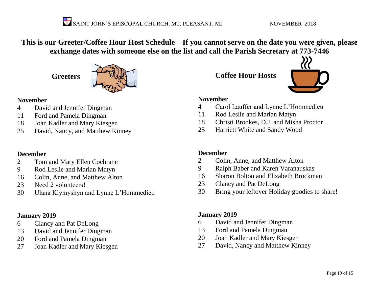**This is our Greeter/Coffee Hour Host Schedule—If you cannot serve on the date you were given, please exchange dates with someone else on the list and call the Parish Secretary at 773-7446**

**Greeters**



#### **November**

- David and Jennifer Dingman
- Ford and Pamela Dingman
- Joan Kadler and Mary Kiesgen
- David, Nancy, and Matthew Kinney

#### **December**

- Tom and Mary Ellen Cochrane
- Rod Leslie and Marian Matyn
- Colin, Anne, and Matthew Alton
- Need 2 volunteers!
- Ulana Klymyshyn and Lynne L'Hommedieu

#### **January 2019**

- Clancy and Pat DeLong
- David and Jennifer Dingman
- Ford and Pamela Dingman
- Joan Kadler and Mary Kiesgen

**Coffee Hour Hosts**



#### **November**

- Carol Lauffer and Lynne L'Hommedieu
- Rod Leslie and Marian Matyn
- Christi Brookes, D.J. and Misha Proctor
- Harriett White and Sandy Wood

#### **December**

- Colin, Anne, and Matthew Alton
- Ralph Baber and Karen Varanauskas
- Sharon Bolton and Elizabeth Brockman
- Clancy and Pat DeLong
- Bring your leftover Holiday goodies to share!

#### **January 2019**

- David and Jennifer Dingman
- Ford and Pamela Dingman
- Joan Kadler and Mary Kiesgen
- David, Nancy and Matthew Kinney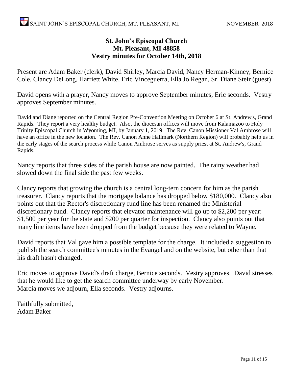#### **St. John's Episcopal Church Mt. Pleasant, MI 48858 Vestry minutes for October 14th, 2018**

Present are Adam Baker (clerk), David Shirley, Marcia David, Nancy Herman-Kinney, Bernice Cole, Clancy DeLong, Harriett White, Eric Vinceguerra, Ella Jo Regan, Sr. Diane Steir (guest)

David opens with a prayer, Nancy moves to approve September minutes, Eric seconds. Vestry approves September minutes.

David and Diane reported on the Central Region Pre-Convention Meeting on October 6 at St. Andrew's, Grand Rapids. They report a very healthy budget. Also, the diocesan offices will move from Kalamazoo to Holy Trinity Episcopal Church in Wyoming, MI, by January 1, 2019. The Rev. Canon Missioner Val Ambrose will have an office in the new location. The Rev. Canon Anne Hallmark (Northern Region) will probably help us in the early stages of the search process while Canon Ambrose serves as supply priest at St. Andrew's, Grand Rapids.

Nancy reports that three sides of the parish house are now painted. The rainy weather had slowed down the final side the past few weeks.

Clancy reports that growing the church is a central long-tern concern for him as the parish treasurer. Clancy reports that the mortgage balance has dropped below \$180,000. Clancy also points out that the Rector's discretionary fund line has been renamed the Ministerial discretionary fund. Clancy reports that elevator maintenance will go up to \$2,200 per year: \$1,500 per year for the state and \$200 per quarter for inspection. Clancy also points out that many line items have been dropped from the budget because they were related to Wayne.

David reports that Val gave him a possible template for the charge. It included a suggestion to publish the search committee's minutes in the Evangel and on the website, but other than that his draft hasn't changed.

Eric moves to approve David's draft charge, Bernice seconds. Vestry approves. David stresses that he would like to get the search committee underway by early November. Marcia moves we adjourn, Ella seconds. Vestry adjourns.

Faithfully submitted, Adam Baker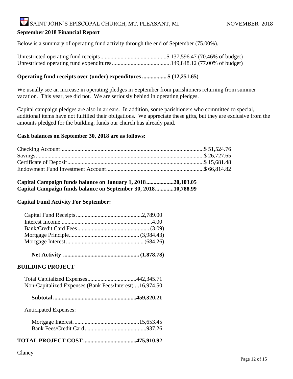# SAINT JOHN'S EPISCOPAL CHURCH, MT. PLEASANT, MI NOVEMBER 2018

#### **September 2018 Financial Report**

Below is a summary of operating fund activity through the end of September (75.00%).

#### **Operating fund receipts over (under) expenditures ................. \$ (12,251.65)**

We usually see an increase in operating pledges in September from parishioners returning from summer vacation. This year, we did not. We are seriously behind in operating pledges.

Capital campaign pledges are also in arrears. In addition, some parishioners who committed to special, additional items have not fulfilled their obligations. We appreciate these gifts, but they are exclusive from the amounts pledged for the building, funds our church has already paid.

#### **Cash balances on September 30, 2018 are as follows:**

**Capital Campaign funds balance on January 1, 2018...................20,103.05 Capital Campaign funds balance on September 30, 2018.............10,788.99**

#### **Capital Fund Activity For September:**

 **Net Activity ..................................................... (1,878.78)**

#### **BUILDING PROJECT**

| Non-Capitalized Expenses (Bank Fees/Interest) 16,974.50 |  |
|---------------------------------------------------------|--|

 **Subtotal..........................................................459,320.21**

Anticipated Expenses:

#### **TOTAL PROJECT COST.....................................475,910.92**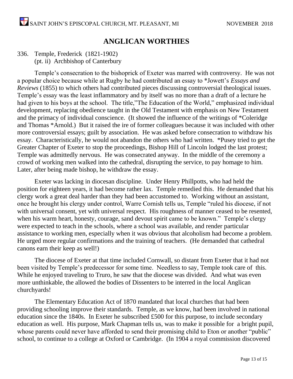### **ANGLICAN WORTHIES**

#### 336. Temple, Frederick (1821-1902) (pt. ii) Archbishop of Canterbury

Temple's consecration to the bishoprick of Exeter was marred with controversy. He was not a popular choice because while at Rugby he had contributed an essay to \*Jowett's *Essays and Reviews* (1855) to which others had contributed pieces discussing controversial theological issues. Temple's essay was the least inflammatory and by itself was no more than a draft of a lecture he had given to his boys at the school. The title,"The Education of the World," emphasized individual development, replacing obedience taught in the Old Testament with emphasis on New Testament and the primacy of individual conscience. (It showed the influence of the writings of \*Coleridge and Thomas \*Arnold.) But it raised the ire of former colleagues because it was included with other more controversial essays; guilt by association. He was asked before consecration to withdraw his essay. Characteristically, he would not abandon the others who had written. \*Pusey tried to get the Greater Chapter of Exeter to stop the proceedings, Bishop Hill of Lincoln lodged the last protest; Temple was admittedly nervous. He was consecrated anyway. In the middle of the ceremony a crowd of working men walked into the cathedral, disrupting the service, to pay homage to him. Later, after being made bishop, he withdraw the essay.

Exeter was lacking in diocesan discipline. Under Henry Phillpotts, who had held the position for eighteen years, it had become rather lax. Temple remedied this. He demanded that his clergy work a great deal harder than they had been accustomed to. Working without an assistant, once he brought his clergy under control, Warre Cornish tells us, Temple "ruled his diocese, if not with universal consent, yet with universal respect. His roughness of manner ceased to be resented, when his warm heart, honesty, courage, sand devout spirit came to be known." Temple's clergy were expected to teach in the schools, where a school was available, and render particular assistance to working men, especially when it was obvious that alcoholism had become a problem. He urged more regular confirmations and the training of teachers. (He demanded that cathedral canons earn their keep as well!)

The diocese of Exeter at that time included Cornwall, so distant from Exeter that it had not been visited by Temple's predecessor for some time. Needless to say, Temple took care of this. While he enjoyed traveling to Truro, he saw that the diocese was divided. And what was even more unthinkable, the allowed the bodies of Dissenters to be interred in the local Anglican churchyards!

The Elementary Education Act of 1870 mandated that local churches that had been providing schooling improve their standards. Temple, as we know, had been involved in national education since the 1840s. In Exeter he subscribed £500 for this purpose, to include secondary education as well. His purpose, Mark Chapman tells us, was to make it possible for a bright pupil, whose parents could never have afforded to send their promising child to Eton or another "public" school, to continue to a college at Oxford or Cambridge. (In 1904 a royal commission discovered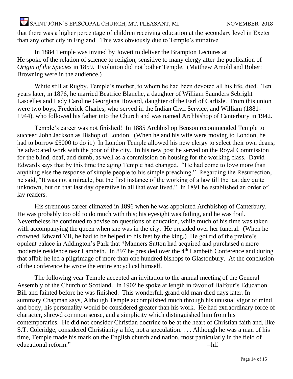# $\sum_{i=1}^{8}$ SAINT JOHN'S EPISCOPAL CHURCH, MT. PLEASANT, MI NOVEMBER 2018

that there was a higher percentage of children receiving education at the secondary level in Exeter than any other city in England. This was obviously due to Temple's initiative.

In 1884 Temple was invited by Jowett to deliver the Brampton Lectures at He spoke of the relation of science to religion, sensitive to many clergy after the publication of *Origin of the Species* in 1859. Evolution did not bother Temple. (Matthew Arnold and Robert Browning were in the audience.)

White still at Rugby, Temple's mother, to whom he had been devoted all his life, died. Ten years later, in 1876, he married Beatrice Blanche, a daughter of William Saunders Sebright Lascelles and Lady Caroline Georgiana Howard, daughter of the Earl of Carlisle. From this union were two boys, Frederick Charles, who served in the Indian Civil Service, and William (1881- 1944), who followed his father into the Church and was named Archbishop of Canterbury in 1942.

Temple's career was not finished! In 1885 Archbishop Benson recommended Temple to succeed John Jackson as Bishop of London. (When he and his wife were moving to London, he had to borrow £5000 to do it.) In London Temple allowed his new clergy to select their own deans; he advocated work with the poor of the city. In his new post he served on the Royal Commission for the blind, deaf, and dumb, as well as a commission on housing for the working class. David Edwards says that by this time the aging Temple had changed. "He had come to love more than anything else the response of simple people to his simple preaching." Regarding the Resurrection, he said, "It was not a miracle, but the first instance of the working of a law till the last day quite unknown, but on that last day operative in all that ever lived." In 1891 he established an order of lay readers.

His strenuous career climaxed in 1896 when he was appointed Archbishop of Canterbury. He was probably too old to do much with this; his eyesight was failing, and he was frail. Nevertheless he continued to advise on questions of education, while much of his time was taken with accompanying the queen when she was in the city. He presided over her funeral. (When he crowned Edward VII, he had to be helped to his feet by the king.) He got rid of the prelate's opulent palace in Addington's Park that \*Manners Sutton had acquired and purchased a more moderate residence near Lambeth. In 897 he presided over the 4<sup>th</sup> Lambeth Conference and during that affair he led a pilgrimage of more than one hundred bishops to Glastonbury. At the conclusion of the conference he wrote the entire encyclical himself.

The following year Temple accepted an invitation to the annual meeting of the General Assembly of the Church of Scotland. In 1902 he spoke at length in favor of Balfour's Education Bill and fainted before he was finished. This wonderful, grand old man died days later. In summary Chapman says, Although Temple accomplished much through his unusual vigor of mind and body, his personality would be considered greater than his work. He had extraordinary force of character, shrewd common sense, and a simplicity which distinguished him from his contemporaries. He did not consider Christian doctrine to be at the heart of Christian faith and, like S.T. Coleridge, considered Christianity a life, not a speculation. . . . Although he was a man of his time, Temple made his mark on the English church and nation, most particularly in the field of educational reform."  $-$ hlf